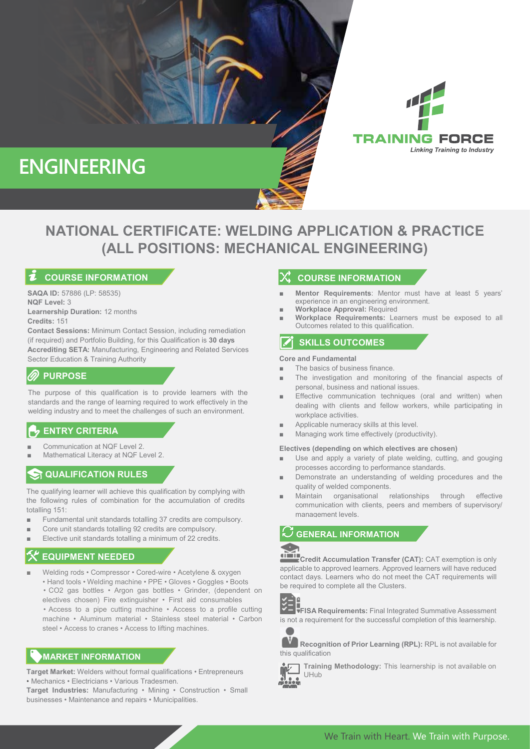

# ` **(ALL POSITIONS: MECHANICAL ENGINEERING) NATIONAL CERTIFICATE: WELDING APPLICATION & PRACTICE**

### **COURSE INFORMATION**

**SAQA ID:** 57886 (LP: 58535) **NQF Level:** 3 **Learnership Duration:** 12 months **Credits:** 151

**Contact Sessions:** Minimum Contact Session, including remediation (if required) and Portfolio Building, for this Qualification is **30 days Accrediting SETA:** Manufacturing, Engineering and Related Services Sector Education & Training Authority

### **PURPOSE**

The purpose of this qualification is to provide learners with the standards and the range of learning required to work effectively in the welding industry and to meet the challenges of such an environment.

# **ENTRY CRITERIA**

- Communication at NQF Level 2.
- Mathematical Literacy at NQF Level 2.

# **QUALIFICATION RULES**

The qualifying learner will achieve this qualification by complying with the following rules of combination for the accumulation of credits totalling 151:

- Fundamental unit standards totalling 37 credits are compulsory.
- Core unit standards totalling 92 credits are compulsory.
- Elective unit standards totalling a minimum of 22 credits.

#### ■ **EQUIPMENT NEEDED**

Welding rods • Compressor • Cored-wire • Acetylene & oxygen • Hand tools • Welding machine • PPE • Gloves • Goggles • Boots • CO2 gas bottles • Argon gas bottles • Grinder, (dependent on electives chosen) Fire extinguisher • First aid consumables • Access to a pipe cutting machine • Access to a profile cutting machine • Aluminum material • Stainless steel material • Carbon steel • Access to cranes • Access to lifting machines.

### **MARKET INFORMATION**

**Target Market:** Welders without formal qualifications • Entrepreneurs • Mechanics • Electricians • Various Tradesmen.

**Target Industries:** Manufacturing • Mining • Construction • Small businesses • Maintenance and repairs • Municipalities.

### **COURSE INFORMATION**

**Mentor Requirements:** Mentor must have at least 5 years' experience in an engineering environment.

TRAINING FORCE

**Linking Training to Industry** 

- Workplace Approval: Required
- **Workplace Requirements:** Learners must be exposed to all Outcomes related to this qualification.

# **SKILLS OUTCOMES**

#### **Core and Fundamental**

- The basics of business finance
- The investigation and monitoring of the financial aspects of personal, business and national issues.
- Effective communication techniques (oral and written) when dealing with clients and fellow workers, while participating in workplace activities.
- Applicable numeracy skills at this level.
- Managing work time effectively (productivity).

#### **Electives (depending on which electives are chosen)**

- Use and apply a variety of plate welding, cutting, and gouging processes according to performance standards.
- Demonstrate an understanding of welding procedures and the quality of welded components.
- Maintain organisational relationships through effective communication with clients, peers and members of supervisory/ management levels.

**GENERAL INFORMATION**



**Credit Accumulation Transfer (CAT):** CAT exemption is only applicable to approved learners. Approved learners will have reduced contact days. Learners who do not meet the CAT requirements will be required to complete all the Clusters.



**FISA Requirements:** Final Integrated Summative Assessment is not a requirement for the successful completion of this learnership.



**Recognition of Prior Learning (RPL):** RPL is not available for this qualification



**Training Methodology:** This learnership is not available on UHub